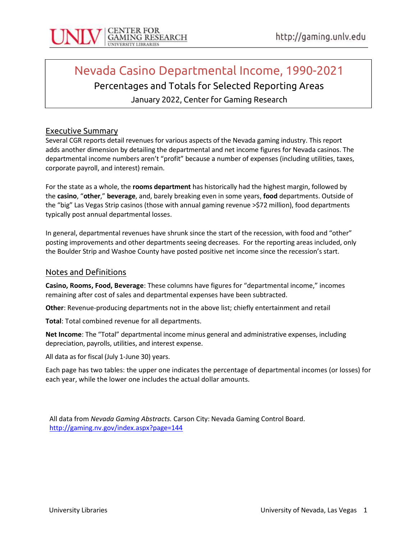

# Nevada Casino Departmental Income, 1990-2021

# Percentages and Totals for Selected Reporting Areas

January 2022, Center for Gaming Research

#### Executive Summary

Several CGR reports detail revenues for various aspects of the Nevada gaming industry. This report adds another dimension by detailing the departmental and net income figures for Nevada casinos. The departmental income numbers aren't "profit" because a number of expenses (including utilities, taxes, corporate payroll, and interest) remain.

For the state as a whole, the rooms department has historically had the highest margin, followed by the casino, "other," beverage, and, barely breaking even in some years, food departments. Outside of the "big" Las Vegas Strip casinos (those with annual gaming revenue >\$72 million), food departments typically post annual departmental losses.

In general, departmental revenues have shrunk since the start of the recession, with food and "other" posting improvements and other departments seeing decreases. For the reporting areas included, only the Boulder Strip and Washoe County have posted positive net income since the recession's start.

#### Notes and Definitions

Casino, Rooms, Food, Beverage: These columns have figures for "departmental income," incomes remaining after cost of sales and departmental expenses have been subtracted.

Other: Revenue-producing departments not in the above list; chiefly entertainment and retail

Total: Total combined revenue for all departments.

Net Income: The "Total" departmental income minus general and administrative expenses, including depreciation, payrolls, utilities, and interest expense.

All data as for fiscal (July 1-June 30) years.

Each page has two tables: the upper one indicates the percentage of departmental incomes (or losses) for each year, while the lower one includes the actual dollar amounts.

All data from Nevada Gaming Abstracts. Carson City: Nevada Gaming Control Board. http://gaming.nv.gov/index.aspx?page=144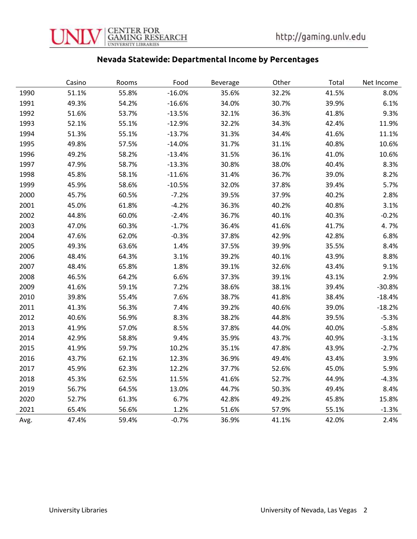

## Nevada Statewide: Departmental Income by Percentages

|      | Casino | Rooms | Food     | Beverage | Other | Total | Net Income |
|------|--------|-------|----------|----------|-------|-------|------------|
| 1990 | 51.1%  | 55.8% | $-16.0%$ | 35.6%    | 32.2% | 41.5% | 8.0%       |
| 1991 | 49.3%  | 54.2% | $-16.6%$ | 34.0%    | 30.7% | 39.9% | 6.1%       |
| 1992 | 51.6%  | 53.7% | $-13.5%$ | 32.1%    | 36.3% | 41.8% | 9.3%       |
| 1993 | 52.1%  | 55.1% | $-12.9%$ | 32.2%    | 34.3% | 42.4% | 11.9%      |
| 1994 | 51.3%  | 55.1% | $-13.7%$ | 31.3%    | 34.4% | 41.6% | 11.1%      |
| 1995 | 49.8%  | 57.5% | $-14.0%$ | 31.7%    | 31.1% | 40.8% | 10.6%      |
| 1996 | 49.2%  | 58.2% | $-13.4%$ | 31.5%    | 36.1% | 41.0% | 10.6%      |
| 1997 | 47.9%  | 58.7% | $-13.3%$ | 30.8%    | 38.0% | 40.4% | 8.3%       |
| 1998 | 45.8%  | 58.1% | $-11.6%$ | 31.4%    | 36.7% | 39.0% | 8.2%       |
| 1999 | 45.9%  | 58.6% | $-10.5%$ | 32.0%    | 37.8% | 39.4% | 5.7%       |
| 2000 | 45.7%  | 60.5% | $-7.2%$  | 39.5%    | 37.9% | 40.2% | 2.8%       |
| 2001 | 45.0%  | 61.8% | $-4.2%$  | 36.3%    | 40.2% | 40.8% | 3.1%       |
| 2002 | 44.8%  | 60.0% | $-2.4%$  | 36.7%    | 40.1% | 40.3% | $-0.2%$    |
| 2003 | 47.0%  | 60.3% | $-1.7%$  | 36.4%    | 41.6% | 41.7% | 4.7%       |
| 2004 | 47.6%  | 62.0% | $-0.3%$  | 37.8%    | 42.9% | 42.8% | 6.8%       |
| 2005 | 49.3%  | 63.6% | 1.4%     | 37.5%    | 39.9% | 35.5% | 8.4%       |
| 2006 | 48.4%  | 64.3% | 3.1%     | 39.2%    | 40.1% | 43.9% | 8.8%       |
| 2007 | 48.4%  | 65.8% | 1.8%     | 39.1%    | 32.6% | 43.4% | 9.1%       |
| 2008 | 46.5%  | 64.2% | 6.6%     | 37.3%    | 39.1% | 43.1% | 2.9%       |
| 2009 | 41.6%  | 59.1% | 7.2%     | 38.6%    | 38.1% | 39.4% | $-30.8%$   |
| 2010 | 39.8%  | 55.4% | 7.6%     | 38.7%    | 41.8% | 38.4% | $-18.4%$   |
| 2011 | 41.3%  | 56.3% | 7.4%     | 39.2%    | 40.6% | 39.0% | $-18.2%$   |
| 2012 | 40.6%  | 56.9% | 8.3%     | 38.2%    | 44.8% | 39.5% | $-5.3%$    |
| 2013 | 41.9%  | 57.0% | 8.5%     | 37.8%    | 44.0% | 40.0% | $-5.8%$    |
| 2014 | 42.9%  | 58.8% | 9.4%     | 35.9%    | 43.7% | 40.9% | $-3.1%$    |
| 2015 | 41.9%  | 59.7% | 10.2%    | 35.1%    | 47.8% | 43.9% | $-2.7%$    |
| 2016 | 43.7%  | 62.1% | 12.3%    | 36.9%    | 49.4% | 43.4% | 3.9%       |
| 2017 | 45.9%  | 62.3% | 12.2%    | 37.7%    | 52.6% | 45.0% | 5.9%       |
| 2018 | 45.3%  | 62.5% | 11.5%    | 41.6%    | 52.7% | 44.9% | $-4.3%$    |
| 2019 | 56.7%  | 64.5% | 13.0%    | 44.7%    | 50.3% | 49.4% | 8.4%       |
| 2020 | 52.7%  | 61.3% | 6.7%     | 42.8%    | 49.2% | 45.8% | 15.8%      |
| 2021 | 65.4%  | 56.6% | 1.2%     | 51.6%    | 57.9% | 55.1% | $-1.3%$    |
| Avg. | 47.4%  | 59.4% | $-0.7%$  | 36.9%    | 41.1% | 42.0% | 2.4%       |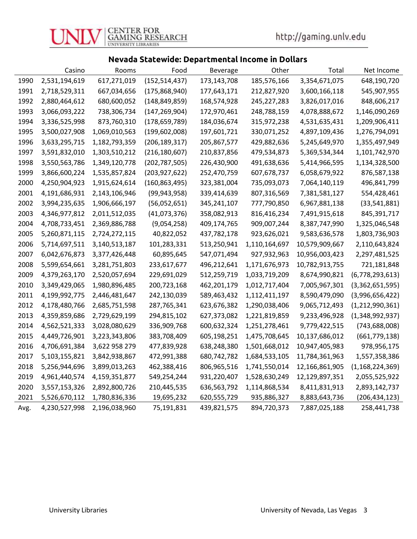#### Nevada Statewide: Departmental Income in Dollars

|      | Casino        | Rooms         | Food            | Beverage    | Other         | Total          | Net Income         |
|------|---------------|---------------|-----------------|-------------|---------------|----------------|--------------------|
| 1990 | 2,531,194,619 | 617,271,019   | (152, 514, 437) | 173,143,708 | 185,576,166   | 3,354,671,075  | 648,190,720        |
| 1991 | 2,718,529,311 | 667,034,656   | (175,868,940)   | 177,643,171 | 212,827,920   | 3,600,166,118  | 545,907,955        |
| 1992 | 2,880,464,612 | 680,600,052   | (148, 849, 859) | 168,574,928 | 245,227,283   | 3,826,017,016  | 848,606,217        |
| 1993 | 3,066,093,222 | 738,306,734   | (147, 269, 904) | 172,970,461 | 248,788,159   | 4,078,888,672  | 1,146,090,269      |
| 1994 | 3,336,525,998 | 873,760,310   | (178, 659, 789) | 184,036,674 | 315,972,238   | 4,531,635,431  | 1,209,906,411      |
| 1995 | 3,500,027,908 | 1,069,010,563 | (199,602,008)   | 197,601,721 | 330,071,252   | 4,897,109,436  | 1,276,794,091      |
| 1996 | 3,633,295,715 | 1,182,793,359 | (206, 189, 317) | 205,867,577 | 429,882,636   | 5,245,649,970  | 1,355,497,949      |
| 1997 | 3,591,832,010 | 1,303,510,212 | (216, 180, 607) | 210,837,856 | 479,534,873   | 5,369,534,344  | 1,101,742,970      |
| 1998 | 3,550,563,786 | 1,349,120,778 | (202, 787, 505) | 226,430,900 | 491,638,636   | 5,414,966,595  | 1,134,328,500      |
| 1999 | 3,866,600,224 | 1,535,857,824 | (203,927,622)   | 252,470,759 | 607,678,737   | 6,058,679,922  | 876,587,138        |
| 2000 | 4,250,904,923 | 1,915,624,614 | (160,863,495)   | 323,381,004 | 735,093,073   | 7,064,140,119  | 496,841,799        |
| 2001 | 4,191,686,931 | 2,143,106,946 | (99, 943, 958)  | 339,414,639 | 807,316,569   | 7,381,581,127  | 554,428,461        |
| 2002 | 3,994,235,635 | 1,906,666,197 | (56,052,651)    | 345,241,107 | 777,790,850   | 6,967,881,138  | (33, 541, 881)     |
| 2003 | 4,346,977,812 | 2,011,512,035 | (41,073,376)    | 358,082,913 | 816,416,234   | 7,491,915,618  | 845,391,717        |
| 2004 | 4,708,733,451 | 2,369,886,788 | (9,054,258)     | 409,174,765 | 909,007,244   | 8,387,747,990  | 1,325,046,548      |
| 2005 | 5,260,871,115 | 2,724,272,115 | 40,822,052      | 437,782,178 | 923,626,021   | 9,583,636,578  | 1,803,736,903      |
| 2006 | 5,714,697,511 | 3,140,513,187 | 101,283,331     | 513,250,941 | 1,110,164,697 | 10,579,909,667 | 2,110,643,824      |
| 2007 | 6,042,676,873 | 3,377,426,448 | 60,895,645      | 547,071,494 | 927,932,963   | 10,956,003,423 | 2,297,481,525      |
| 2008 | 5,599,654,661 | 3,281,751,803 | 233,617,677     | 496,212,641 | 1,171,676,973 | 10,782,913,755 | 721,181,848        |
| 2009 | 4,379,263,170 | 2,520,057,694 | 229,691,029     | 512,259,719 | 1,033,719,209 | 8,674,990,821  | (6,778,293,613)    |
| 2010 | 3,349,429,065 | 1,980,896,485 | 200,723,168     | 462,201,179 | 1,012,717,404 | 7,005,967,301  | (3,362,651,595)    |
| 2011 | 4,199,992,775 | 2,446,481,647 | 242,130,039     | 589,463,432 | 1,112,411,197 | 8,590,479,090  | (3,996,656,422)    |
| 2012 | 4,178,480,766 | 2,685,751,598 | 287,765,341     | 623,676,382 | 1,290,038,406 | 9,065,712,493  | (1, 212, 990, 361) |
| 2013 | 4,359,859,686 | 2,729,629,199 | 294,815,102     | 627,373,082 | 1,221,819,859 | 9,233,496,928  | (1,348,992,937)    |
| 2014 | 4,562,521,333 | 3,028,080,629 | 336,909,768     | 600,632,324 | 1,251,278,461 | 9,779,422,515  | (743, 688, 008)    |
| 2015 | 4,449,726,901 | 3,223,343,806 | 383,708,409     | 605,198,251 | 1,475,708,645 | 10,137,686,012 | (661, 779, 138)    |
| 2016 | 4,706,691,384 | 3,622 958 279 | 477,839,928     | 638,248,380 | 1,501,668,012 | 10,947,405,983 | 978,956,175        |
| 2017 | 5,103,155,821 | 3,842,938,867 | 472,991,388     | 680,742,782 | 1,684,533,105 | 11,784,361,963 | 1,557,358,386      |
| 2018 | 5,256,944,696 | 3,899,013,263 | 462,388,416     | 806,965,516 | 1,741,550,014 | 12,166,861,905 | (1, 168, 224, 369) |
| 2019 | 4,961,440,574 | 4,159,351,877 | 549,254,244     | 931,220,407 | 1,528,630,249 | 12,129,897,351 | 2,055,525,922      |
| 2020 | 3,557,153,326 | 2,892,800,726 | 210,445,535     | 636,563,792 | 1,114,868,534 | 8,411,831,913  | 2,893,142,737      |
| 2021 | 5,526,670,112 | 1,780,836,336 | 19,695,232      | 620,555,729 | 935,886,327   | 8,883,643,736  | (206, 434, 123)    |
| Avg. | 4,230,527,998 | 2,196,038,960 | 75,191,831      | 439,821,575 | 894,720,373   | 7,887,025,188  | 258,441,738        |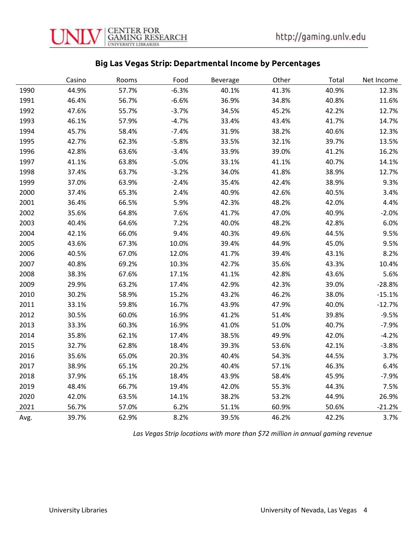#### Big Las Vegas Strip: Departmental Income by Percentages

|      | Casino | Rooms | Food    | <b>Beverage</b> | Other | Total | Net Income |
|------|--------|-------|---------|-----------------|-------|-------|------------|
| 1990 | 44.9%  | 57.7% | $-6.3%$ | 40.1%           | 41.3% | 40.9% | 12.3%      |
| 1991 | 46.4%  | 56.7% | $-6.6%$ | 36.9%           | 34.8% | 40.8% | 11.6%      |
| 1992 | 47.6%  | 55.7% | $-3.7%$ | 34.5%           | 45.2% | 42.2% | 12.7%      |
| 1993 | 46.1%  | 57.9% | $-4.7%$ | 33.4%           | 43.4% | 41.7% | 14.7%      |
| 1994 | 45.7%  | 58.4% | $-7.4%$ | 31.9%           | 38.2% | 40.6% | 12.3%      |
| 1995 | 42.7%  | 62.3% | $-5.8%$ | 33.5%           | 32.1% | 39.7% | 13.5%      |
| 1996 | 42.8%  | 63.6% | $-3.4%$ | 33.9%           | 39.0% | 41.2% | 16.2%      |
| 1997 | 41.1%  | 63.8% | $-5.0%$ | 33.1%           | 41.1% | 40.7% | 14.1%      |
| 1998 | 37.4%  | 63.7% | $-3.2%$ | 34.0%           | 41.8% | 38.9% | 12.7%      |
| 1999 | 37.0%  | 63.9% | $-2.4%$ | 35.4%           | 42.4% | 38.9% | 9.3%       |
| 2000 | 37.4%  | 65.3% | 2.4%    | 40.9%           | 42.6% | 40.5% | 3.4%       |
| 2001 | 36.4%  | 66.5% | 5.9%    | 42.3%           | 48.2% | 42.0% | 4.4%       |
| 2002 | 35.6%  | 64.8% | 7.6%    | 41.7%           | 47.0% | 40.9% | $-2.0%$    |
| 2003 | 40.4%  | 64.6% | 7.2%    | 40.0%           | 48.2% | 42.8% | 6.0%       |
| 2004 | 42.1%  | 66.0% | 9.4%    | 40.3%           | 49.6% | 44.5% | 9.5%       |
| 2005 | 43.6%  | 67.3% | 10.0%   | 39.4%           | 44.9% | 45.0% | 9.5%       |
| 2006 | 40.5%  | 67.0% | 12.0%   | 41.7%           | 39.4% | 43.1% | 8.2%       |
| 2007 | 40.8%  | 69.2% | 10.3%   | 42.7%           | 35.6% | 43.3% | 10.4%      |
| 2008 | 38.3%  | 67.6% | 17.1%   | 41.1%           | 42.8% | 43.6% | 5.6%       |
| 2009 | 29.9%  | 63.2% | 17.4%   | 42.9%           | 42.3% | 39.0% | $-28.8%$   |
| 2010 | 30.2%  | 58.9% | 15.2%   | 43.2%           | 46.2% | 38.0% | $-15.1%$   |
| 2011 | 33.1%  | 59.8% | 16.7%   | 43.9%           | 47.9% | 40.0% | $-12.7%$   |
| 2012 | 30.5%  | 60.0% | 16.9%   | 41.2%           | 51.4% | 39.8% | $-9.5%$    |
| 2013 | 33.3%  | 60.3% | 16.9%   | 41.0%           | 51.0% | 40.7% | $-7.9%$    |
| 2014 | 35.8%  | 62.1% | 17.4%   | 38.5%           | 49.9% | 42.0% | $-4.2%$    |
| 2015 | 32.7%  | 62.8% | 18.4%   | 39.3%           | 53.6% | 42.1% | $-3.8%$    |
| 2016 | 35.6%  | 65.0% | 20.3%   | 40.4%           | 54.3% | 44.5% | 3.7%       |
| 2017 | 38.9%  | 65.1% | 20.2%   | 40.4%           | 57.1% | 46.3% | 6.4%       |
| 2018 | 37.9%  | 65.1% | 18.4%   | 43.9%           | 58.4% | 45.9% | $-7.9%$    |
| 2019 | 48.4%  | 66.7% | 19.4%   | 42.0%           | 55.3% | 44.3% | 7.5%       |
| 2020 | 42.0%  | 63.5% | 14.1%   | 38.2%           | 53.2% | 44.9% | 26.9%      |
| 2021 | 56.7%  | 57.0% | 6.2%    | 51.1%           | 60.9% | 50.6% | $-21.2%$   |
| Avg. | 39.7%  | 62.9% | 8.2%    | 39.5%           | 46.2% | 42.2% | 3.7%       |

Las Vegas Strip locations with more than \$72 million in annual gaming revenue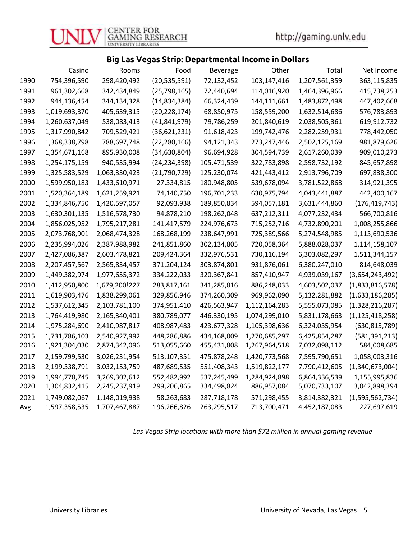#### Big Las Vegas Strip: Departmental Income in Dollars

|      | Casino        | Rooms         | Food           | Beverage    | Other         | Total         | Net Income         |
|------|---------------|---------------|----------------|-------------|---------------|---------------|--------------------|
| 1990 | 754,396,590   | 298,420,492   | (20, 535, 591) | 72,132,452  | 103,147,416   | 1,207,561,359 | 363,115,835        |
| 1991 | 961,302,668   | 342,434,849   | (25, 798, 165) | 72,440,694  | 114,016,920   | 1,464,396,966 | 415,738,253        |
| 1992 | 944,136,454   | 344,134,328   | (14, 834, 384) | 66,324,439  | 144,111,661   | 1,483,872,498 | 447,402,668        |
| 1993 | 1,019,693,370 | 405,639,315   | (20, 228, 174) | 68,850,975  | 158,559,200   | 1,632,514,686 | 576,783,893        |
| 1994 | 1,260,637,049 | 538,083,413   | (41, 841, 979) | 79,786,259  | 201,840,619   | 2,038,505,361 | 619,912,732        |
| 1995 | 1,317,990,842 | 709,529,421   | (36,621,231)   | 91,618,423  | 199,742,476   | 2,282,259,931 | 778,442,050        |
| 1996 | 1,368,338,798 | 788,697,748   | (22, 280, 166) | 94,121,343  | 273,247,446   | 2,502,125,169 | 981,879,626        |
| 1997 | 1,354,671,168 | 895,930,008   | (34, 630, 804) | 96,694,928  | 304,594,739   | 2,617,260,039 | 909,010,273        |
| 1998 | 1,254,175,159 | 940,535,994   | (24, 234, 398) | 105,471,539 | 322,783,898   | 2,598,732,192 | 845,657,898        |
| 1999 | 1,325,583,529 | 1,063,330,423 | (21,790,729)   | 125,230,074 | 421,443,412   | 2,913,796,709 | 697,838,300        |
| 2000 | 1,599,950,183 | 1,433,610,971 | 27,334,815     | 180,948,805 | 539,678,094   | 3,781,522,868 | 314,921,395        |
| 2001 | 1,520,364,189 | 1,621,259,921 | 74,140,750     | 196,701,233 | 630,975,794   | 4,043,441,887 | 442,400,167        |
| 2002 | 1,334,846,750 | 1,420,597,057 | 92,093,938     | 189,850,834 | 594,057,181   | 3,631,444,860 | (176, 419, 743)    |
| 2003 | 1,630,301,135 | 1,516,578,730 | 94,878,210     | 198,262,048 | 637,212,311   | 4,077,232,434 | 566,700,816        |
| 2004 | 1,856,025,952 | 1,795,217,281 | 141,417,579    | 224,976,673 | 715,252,716   | 4,732,890,201 | 1,008,255,866      |
| 2005 | 2,073,768,901 | 2,068,474,328 | 168,268,199    | 238,647,991 | 725,389,566   | 5,274,548,985 | 1,113,690,536      |
| 2006 | 2,235,994,026 | 2,387,988,982 | 241,851,860    | 302,134,805 | 720,058,364   | 5,888,028,037 | 1,114,158,107      |
| 2007 | 2,427,086,387 | 2,603,478,821 | 209,424,364    | 332,976,531 | 730,116,194   | 6,303,082,297 | 1,511,344,157      |
| 2008 | 2,207,457,567 | 2,565,834,457 | 371,204,124    | 303,874,801 | 931,876,061   | 6,380,247,010 | 814,648,039        |
| 2009 | 1,449,382,974 | 1,977,655,372 | 334,222,033    | 320,367,841 | 857,410,947   | 4,939,039,167 | (3,654,243,492)    |
| 2010 | 1,412,950,800 | 1,679,200!227 | 283,817,161    | 341,285,816 | 886,248,033   | 4,603,502,037 | (1,833,816,578)    |
| 2011 | 1,619,903,476 | 1,838,299,061 | 329,856,946    | 374,260,309 | 969,962,090   | 5,132,281,882 | (1,633,186,285)    |
| 2012 | 1,537,612,345 | 2,103,781,100 | 374,951,410    | 426,563,947 | 1,112,164,283 | 5,555,073,085 | (1,328,216,287)    |
| 2013 | 1,764,419,980 | 2,165,340,401 | 380,789,077    | 446,330,195 | 1,074,299,010 | 5,831,178,663 | (1, 125, 418, 258) |
| 2014 | 1,975,284,690 | 2,410,987,817 | 408,987,483    | 423,677,328 | 1,105,398,636 | 6,324,035,954 | (630, 815, 789)    |
| 2015 | 1,731,786,103 | 2,540,927,992 | 448,286,886    | 434,168,009 | 1,270,685,297 | 6,425,854,287 | (581, 391, 213)    |
| 2016 | 1,921,304,030 | 2,874,342,096 | 513,055,660    | 455,431,808 | 1,267,964,518 | 7,032,098,112 | 584,008,685        |
| 2017 | 2,159,799,530 | 3,026,231,954 | 513,107,351    | 475,878,248 | 1,420,773,568 | 7,595,790,651 | 1,058,003,316      |
| 2018 | 2,199,338,791 | 3,032,153,759 | 487,689,535    | 551,408,343 | 1,519,822,177 | 7,790,412,605 | (1,340,673,004)    |
| 2019 | 1,994,778,745 | 3,269,302,612 | 552,482,992    | 537,245,499 | 1,284,924,898 | 6,864,336,539 | 1,155,995,836      |
| 2020 | 1,304,832,415 | 2,245,237,919 | 299,206,865    | 334,498,824 | 886,957,084   | 5,070,733,107 | 3,042,898,394      |
| 2021 | 1,749,082,067 | 1,148,019,938 | 58,263,683     | 287,718,178 | 571,298,455   | 3,814,382,321 | (1,595,562,734)    |
| Avg. | 1,597,358,535 | 1,707,467,887 | 196,266,826    | 263,295,517 | 713,700,471   | 4,452,187,083 | 227,697,619        |

Las Vegas Strip locations with more than \$72 million in annual gaming revenue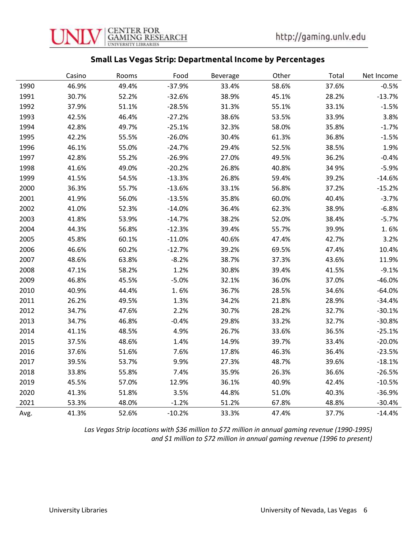

#### Small Las Vegas Strip: Departmental Income by Percentages

|      | Casino | Rooms | Food     | Beverage | Other | Total | Net Income |
|------|--------|-------|----------|----------|-------|-------|------------|
| 1990 | 46.9%  | 49.4% | $-37.9%$ | 33.4%    | 58.6% | 37.6% | $-0.5%$    |
| 1991 | 30.7%  | 52.2% | $-32.6%$ | 38.9%    | 45.1% | 28.2% | $-13.7%$   |
| 1992 | 37.9%  | 51.1% | $-28.5%$ | 31.3%    | 55.1% | 33.1% | $-1.5%$    |
| 1993 | 42.5%  | 46.4% | $-27.2%$ | 38.6%    | 53.5% | 33.9% | 3.8%       |
| 1994 | 42.8%  | 49.7% | $-25.1%$ | 32.3%    | 58.0% | 35.8% | $-1.7%$    |
| 1995 | 42.2%  | 55.5% | $-26.0%$ | 30.4%    | 61.3% | 36.8% | $-1.5%$    |
| 1996 | 46.1%  | 55.0% | $-24.7%$ | 29.4%    | 52.5% | 38.5% | 1.9%       |
| 1997 | 42.8%  | 55.2% | $-26.9%$ | 27.0%    | 49.5% | 36.2% | $-0.4%$    |
| 1998 | 41.6%  | 49.0% | $-20.2%$ | 26.8%    | 40.8% | 34 9% | $-5.9%$    |
| 1999 | 41.5%  | 54.5% | $-13.3%$ | 26.8%    | 59.4% | 39.2% | $-14.6%$   |
| 2000 | 36.3%  | 55.7% | $-13.6%$ | 33.1%    | 56.8% | 37.2% | $-15.2%$   |
| 2001 | 41.9%  | 56.0% | $-13.5%$ | 35.8%    | 60.0% | 40.4% | $-3.7%$    |
| 2002 | 41.0%  | 52.3% | $-14.0%$ | 36.4%    | 62.3% | 38.9% | $-6.8%$    |
| 2003 | 41.8%  | 53.9% | $-14.7%$ | 38.2%    | 52.0% | 38.4% | $-5.7%$    |
| 2004 | 44.3%  | 56.8% | $-12.3%$ | 39.4%    | 55.7% | 39.9% | 1.6%       |
| 2005 | 45.8%  | 60.1% | $-11.0%$ | 40.6%    | 47.4% | 42.7% | 3.2%       |
| 2006 | 46.6%  | 60.2% | $-12.7%$ | 39.2%    | 69.5% | 47.4% | 10.4%      |
| 2007 | 48.6%  | 63.8% | $-8.2%$  | 38.7%    | 37.3% | 43.6% | 11.9%      |
| 2008 | 47.1%  | 58.2% | 1.2%     | 30.8%    | 39.4% | 41.5% | $-9.1%$    |
| 2009 | 46.8%  | 45.5% | $-5.0%$  | 32.1%    | 36.0% | 37.0% | $-46.0%$   |
| 2010 | 40.9%  | 44.4% | 1.6%     | 36.7%    | 28.5% | 34.6% | $-64.0%$   |
| 2011 | 26.2%  | 49.5% | 1.3%     | 34.2%    | 21.8% | 28.9% | $-34.4%$   |
| 2012 | 34.7%  | 47.6% | 2.2%     | 30.7%    | 28.2% | 32.7% | $-30.1%$   |
| 2013 | 34.7%  | 46.8% | $-0.4%$  | 29.8%    | 33.2% | 32.7% | $-30.8%$   |
| 2014 | 41.1%  | 48.5% | 4.9%     | 26.7%    | 33.6% | 36.5% | $-25.1%$   |
| 2015 | 37.5%  | 48.6% | 1.4%     | 14.9%    | 39.7% | 33.4% | $-20.0%$   |
| 2016 | 37.6%  | 51.6% | 7.6%     | 17.8%    | 46.3% | 36.4% | $-23.5%$   |
| 2017 | 39.5%  | 53.7% | 9.9%     | 27.3%    | 48.7% | 39.6% | $-18.1%$   |
| 2018 | 33.8%  | 55.8% | 7.4%     | 35.9%    | 26.3% | 36.6% | $-26.5%$   |
| 2019 | 45.5%  | 57.0% | 12.9%    | 36.1%    | 40.9% | 42.4% | $-10.5%$   |
| 2020 | 41.3%  | 51.8% | 3.5%     | 44.8%    | 51.0% | 40.3% | $-36.9%$   |
| 2021 | 53.3%  | 48.0% | $-1.2%$  | 51.2%    | 67.8% | 48.8% | $-30.4%$   |
| Avg. | 41.3%  | 52.6% | $-10.2%$ | 33.3%    | 47.4% | 37.7% | $-14.4%$   |

Las Vegas Strip locations with \$36 million to \$72 million in annual gaming revenue (1990-1995) and \$1 million to \$72 million in annual gaming revenue (1996 to present)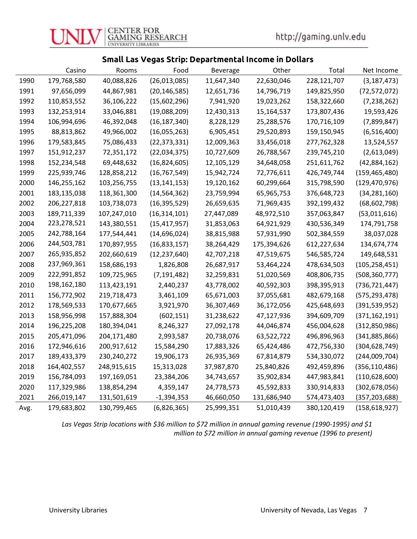#### Small Las Vegas Strip: Departmental Income in Dollars

|      | Casino        | Rooms       | Food           | Beverage   | Other       | Total       | Net Income      |
|------|---------------|-------------|----------------|------------|-------------|-------------|-----------------|
| 1990 | 179,768,580   | 40,088,826  | (26,013,085)   | 11,647,340 | 22,630,046  | 228,121,707 | (3, 187, 473)   |
| 1991 | 97,656,099    | 44,867,981  | (20, 146, 585) | 12,651,736 | 14,796,719  | 149,825,950 | (72, 572, 072)  |
| 1992 | 110,853,552   | 36,106,222  | (15,602,296)   | 7,941,920  | 19,023,262  | 158,322,660 | (7, 238, 262)   |
| 1993 | 132,253,914   | 33,046,881  | (19,088,209)   | 12,430,313 | 15,164,537  | 173,807,436 | 19,593,426      |
| 1994 | 106,994,696   | 46,392,048  | (16, 187, 340) | 8,228,129  | 25,288,576  | 170,716,109 | (7,899,847)     |
| 1995 | 88,813,862    | 49,966,002  | (16,055,263)   | 6,905,451  | 29,520,893  | 159,150,945 | (6, 516, 400)   |
| 1996 | 179,583,845   | 75,086,433  | (22, 373, 331) | 12,009,363 | 33,456,018  | 277,762,328 | 13,524,557      |
| 1997 | 151,912,237   | 72,351,172  | (22,034,375)   | 10,727,609 | 26,788,567  | 239,745,210 | (2,613,049)     |
| 1998 | 152,234,548   | 69,448,632  | (16,824,605)   | 12,105,129 | 34,648,058  | 251,611,762 | (42,884,162)    |
| 1999 | 225,939,746   | 128,858,212 | (16, 767, 549) | 15,942,724 | 72,776,611  | 426,749,744 | (159, 465, 480) |
| 2000 | 146,255,162   | 103,256,755 | (13, 141, 153) | 19,120,162 | 60,299,664  | 315,798,590 | (129, 470, 976) |
| 2001 | 183,135,038   | 118,361,300 | (14, 564, 362) | 23,759,994 | 65,965,753  | 376,648,723 | (34, 281, 160)  |
| 2002 | 206, 227, 818 | 103,738,073 | (16, 395, 529) | 26,659,635 | 71,969,435  | 392,199,432 | (68, 602, 798)  |
| 2003 | 189,711,339   | 107,247,010 | (16, 314, 101) | 27,447,089 | 48,972,510  | 357,063,847 | (53,011,616)    |
| 2004 | 223,278,521   | 143,380,551 | (15, 417, 957) | 31,853,063 | 64,921,929  | 430,536,349 | 174,791,758     |
| 2005 | 242,788,164   | 177,544,441 | (14,696,024)   | 38,815,988 | 57,931,990  | 502,384,559 | 38,037,028      |
| 2006 | 244,503,781   | 170,897,955 | (16,833,157)   | 38,264,429 | 175,394,626 | 612,227,634 | 134,674,774     |
| 2007 | 265,935,852   | 202,660,619 | (12, 237, 640) | 42,707,218 | 47,519,675  | 546,585,724 | 149,648,531     |
| 2008 | 237,969,361   | 158,686,193 | 1,826,808      | 26,687,917 | 53,464,224  | 478,634,503 | (105, 258, 451) |
| 2009 | 222,991,852   | 109,725,965 | (7, 191, 482)  | 32,259,831 | 51,020,569  | 408,806,735 | (508, 360, 777) |
| 2010 | 198,162,180   | 113,423,191 | 2,440,237      | 43,778,002 | 40,592,303  | 398,395,913 | (736, 721, 447) |
| 2011 | 156,772,902   | 219,718,473 | 3,461,109      | 65,671,003 | 37,055,681  | 482,679,168 | (575,293,478)   |
| 2012 | 178,569,533   | 170,677,665 | 3,921,970      | 36,307,469 | 36,172,056  | 425,648,693 | (391, 539, 952) |
| 2013 | 158,956,998   | 157,888,304 | (602, 151)     | 31,238,622 | 47,127,936  | 394,609,709 | (371, 162, 191) |
| 2014 | 196,225,208   | 180,394,041 | 8,246,327      | 27,092,178 | 44,046,874  | 456,004,628 | (312, 850, 986) |
| 2015 | 205,471,096   | 204,171,480 | 2,993,587      | 20,738,076 | 63,522,722  | 496,896,963 | (341,885,866)   |
| 2016 | 172,946,616   | 200,917,612 | 15,584,290     | 17,883,326 | 65,424,486  | 472,756,330 | (304, 628, 749) |
| 2017 | 189,433,379   | 230,240,272 | 19,906,173     | 26,935,369 | 67,814,879  | 534,330,072 | (244,009,704)   |
| 2018 | 164,402,557   | 248,915,615 | 15,313,028     | 37,987,870 | 25,840,826  | 492,459,896 | (356, 110, 486) |
| 2019 | 156,784,093   | 197,169,051 | 23,384,206     | 34,743,657 | 35,902,834  | 447,983,841 | (110, 628, 600) |
| 2020 | 117,329,986   | 138,854,294 | 4,359,147      | 24,778,573 | 45,592,833  | 330,914,833 | (302, 678, 056) |
| 2021 | 266,019,147   | 131,501,619 | $-1,394,353$   | 46,660,050 | 131,686,940 | 574,473,403 | (357, 203, 688) |
| Avg. | 179,683,802   | 130,799,465 | (6,826,365)    | 25,999,351 | 51,010,439  | 380,120,419 | (158, 618, 927) |

Las Vegas Strip locations with \$36 million to \$72 million in annual gaming revenue (1990-1995) and \$1 million to \$72 million in annual gaming revenue (1996 to present)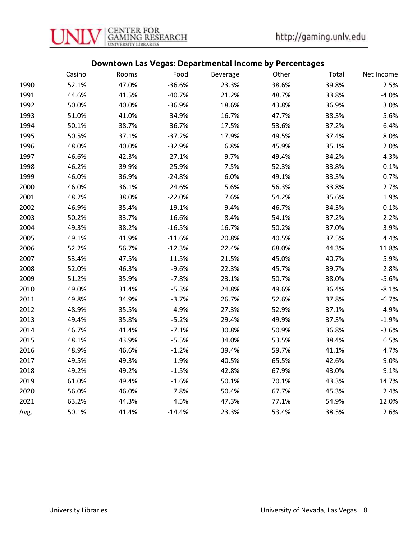

## Downtown Las Vegas: Departmental Income by Percentages

|      | Casino | Rooms | Food     | Beverage | Other | Total | Net Income |
|------|--------|-------|----------|----------|-------|-------|------------|
| 1990 | 52.1%  | 47.0% | $-36.6%$ | 23.3%    | 38.6% | 39.8% | 2.5%       |
| 1991 | 44.6%  | 41.5% | $-40.7%$ | 21.2%    | 48.7% | 33.8% | $-4.0%$    |
| 1992 | 50.0%  | 40.0% | $-36.9%$ | 18.6%    | 43.8% | 36.9% | 3.0%       |
| 1993 | 51.0%  | 41.0% | $-34.9%$ | 16.7%    | 47.7% | 38.3% | 5.6%       |
| 1994 | 50.1%  | 38.7% | $-36.7%$ | 17.5%    | 53.6% | 37.2% | 6.4%       |
| 1995 | 50.5%  | 37.1% | $-37.2%$ | 17.9%    | 49.5% | 37.4% | 8.0%       |
| 1996 | 48.0%  | 40.0% | $-32.9%$ | 6.8%     | 45.9% | 35.1% | 2.0%       |
| 1997 | 46.6%  | 42.3% | $-27.1%$ | 9.7%     | 49.4% | 34.2% | $-4.3%$    |
| 1998 | 46.2%  | 399%  | $-25.9%$ | 7.5%     | 52.3% | 33.8% | $-0.1%$    |
| 1999 | 46.0%  | 36.9% | $-24.8%$ | 6.0%     | 49.1% | 33.3% | 0.7%       |
| 2000 | 46.0%  | 36.1% | 24.6%    | 5.6%     | 56.3% | 33.8% | 2.7%       |
| 2001 | 48.2%  | 38.0% | $-22.0%$ | 7.6%     | 54.2% | 35.6% | 1.9%       |
| 2002 | 46.9%  | 35.4% | $-19.1%$ | 9.4%     | 46.7% | 34.3% | 0.1%       |
| 2003 | 50.2%  | 33.7% | $-16.6%$ | 8.4%     | 54.1% | 37.2% | 2.2%       |
| 2004 | 49.3%  | 38.2% | $-16.5%$ | 16.7%    | 50.2% | 37.0% | 3.9%       |
| 2005 | 49.1%  | 41.9% | $-11.6%$ | 20.8%    | 40.5% | 37.5% | 4.4%       |
| 2006 | 52.2%  | 56.7% | $-12.3%$ | 22.4%    | 68.0% | 44.3% | 11.8%      |
| 2007 | 53.4%  | 47.5% | $-11.5%$ | 21.5%    | 45.0% | 40.7% | 5.9%       |
| 2008 | 52.0%  | 46.3% | $-9.6%$  | 22.3%    | 45.7% | 39.7% | 2.8%       |
| 2009 | 51.2%  | 35.9% | $-7.8%$  | 23.1%    | 50.7% | 38.0% | $-5.6%$    |
| 2010 | 49.0%  | 31.4% | $-5.3%$  | 24.8%    | 49.6% | 36.4% | $-8.1%$    |
| 2011 | 49.8%  | 34.9% | $-3.7%$  | 26.7%    | 52.6% | 37.8% | $-6.7%$    |
| 2012 | 48.9%  | 35.5% | $-4.9%$  | 27.3%    | 52.9% | 37.1% | $-4.9%$    |
| 2013 | 49.4%  | 35.8% | $-5.2%$  | 29.4%    | 49.9% | 37.3% | $-1.9%$    |
| 2014 | 46.7%  | 41.4% | $-7.1%$  | 30.8%    | 50.9% | 36.8% | $-3.6%$    |
| 2015 | 48.1%  | 43.9% | $-5.5%$  | 34.0%    | 53.5% | 38.4% | 6.5%       |
| 2016 | 48.9%  | 46.6% | $-1.2%$  | 39.4%    | 59.7% | 41.1% | 4.7%       |
| 2017 | 49.5%  | 49.3% | $-1.9%$  | 40.5%    | 65.5% | 42.6% | 9.0%       |
| 2018 | 49.2%  | 49.2% | $-1.5%$  | 42.8%    | 67.9% | 43.0% | 9.1%       |
| 2019 | 61.0%  | 49.4% | $-1.6%$  | 50.1%    | 70.1% | 43.3% | 14.7%      |
| 2020 | 56.0%  | 46.0% | 7.8%     | 50.4%    | 67.7% | 45.3% | 2.4%       |
| 2021 | 63.2%  | 44.3% | 4.5%     | 47.3%    | 77.1% | 54.9% | 12.0%      |
| Avg. | 50.1%  | 41.4% | $-14.4%$ | 23.3%    | 53.4% | 38.5% | 2.6%       |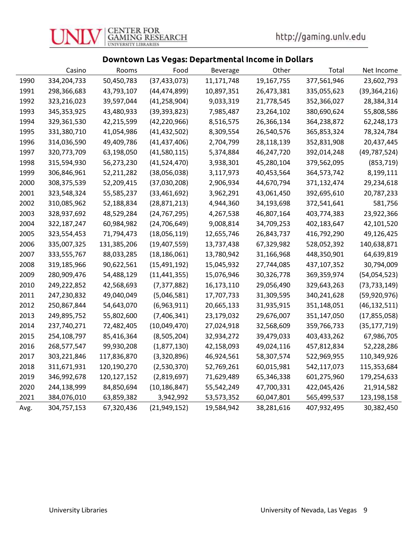#### Downtown Las Vegas: Departmental Income in Dollars

|      | Casino      | Rooms       | Food           | Beverage   | Other      | Total       | Net Income     |
|------|-------------|-------------|----------------|------------|------------|-------------|----------------|
| 1990 | 334,204,733 | 50,450,783  | (37, 433, 073) | 11,171,748 | 19,167,755 | 377,561,946 | 23,602,793     |
| 1991 | 298,366,683 | 43,793,107  | (44, 474, 899) | 10,897,351 | 26,473,381 | 335,055,623 | (39, 364, 216) |
| 1992 | 323,216,023 | 39,597,044  | (41, 258, 904) | 9,033,319  | 21,778,545 | 352,366,027 | 28,384,314     |
| 1993 | 345,353,925 | 43,480,933  | (39, 393, 823) | 7,985,487  | 23,264,102 | 380,690,624 | 55,808,586     |
| 1994 | 329,361,530 | 42,215,599  | (42, 220, 966) | 8,516,575  | 26,366,134 | 364,238,872 | 62,248,173     |
| 1995 | 331,380,710 | 41,054,986  | (41, 432, 502) | 8,309,554  | 26,540,576 | 365,853,324 | 78,324,784     |
| 1996 | 314,036,590 | 49,409,786  | (41, 437, 406) | 2,704,799  | 28,118,139 | 352,831,908 | 20,437,445     |
| 1997 | 320,773,709 | 63,198,050  | (41,580,115)   | 5,374,884  | 46,247,720 | 392,014,248 | (49, 787, 524) |
| 1998 | 315,594,930 | 56,273,230  | (41,524,470)   | 3,938,301  | 45,280,104 | 379,562,095 | (853, 719)     |
| 1999 | 306,846,961 | 52,211,282  | (38,056,038)   | 3,117,973  | 40,453,564 | 364,573,742 | 8,199,111      |
| 2000 | 308,375,539 | 52,209,415  | (37,030,208)   | 2,906,934  | 44,670,794 | 371,132,474 | 29,234,618     |
| 2001 | 323,548,324 | 55,585,237  | (33,461,692)   | 3,962,291  | 43,061,450 | 392,695,610 | 20,787,233     |
| 2002 | 310,085,962 | 52,188,834  | (28, 871, 213) | 4,944,360  | 34,193,698 | 372,541,641 | 581,756        |
| 2003 | 328,937,692 | 48,529,284  | (24, 767, 295) | 4,267,538  | 46,807,164 | 403,774,383 | 23,922,366     |
| 2004 | 322,187,247 | 60,984,982  | (24, 706, 649) | 9,008,814  | 34,709,253 | 402,183,647 | 42,101,520     |
| 2005 | 323,554,453 | 71,794,473  | (18,056,119)   | 12,655,746 | 26,843,737 | 416,792,290 | 49,126,425     |
| 2006 | 335,007,325 | 131,385,206 | (19,407,559)   | 13,737,438 | 67,329,982 | 528,052,392 | 140,638,871    |
| 2007 | 333,555,767 | 88,033,285  | (18, 186, 061) | 13,780,942 | 31,166,968 | 448,350,901 | 64,639,819     |
| 2008 | 319,185,966 | 90,622,561  | (15, 491, 192) | 15,045,932 | 27,744,085 | 437,107,352 | 30,794,009     |
| 2009 | 280,909,476 | 54,488,129  | (11, 441, 355) | 15,076,946 | 30,326,778 | 369,359,974 | (54,054,523)   |
| 2010 | 249,222,852 | 42,568,693  | (7, 377, 882)  | 16,173,110 | 29,056,490 | 329,643,263 | (73, 733, 149) |
| 2011 | 247,230,832 | 49,040,049  | (5,046,581)    | 17,707,733 | 31,309,595 | 340,241,628 | (59,920,976)   |
| 2012 | 250,867,844 | 54,643,070  | (6,963,911)    | 20,665,133 | 31,935,915 | 351,148,051 | (46, 132, 511) |
| 2013 | 249,895,752 | 55,802,600  | (7,406,341)    | 23,179,032 | 29,676,007 | 351,147,050 | (17, 855, 058) |
| 2014 | 237,740,271 | 72,482,405  | (10,049,470)   | 27,024,918 | 32,568,609 | 359,766,733 | (35, 177, 719) |
| 2015 | 254,108,797 | 85,416,364  | (8,505,204)    | 32,934,272 | 39,479,033 | 403,433,262 | 67,986,705     |
| 2016 | 268,577,547 | 99,930,208  | (1,877,130)    | 42,158,093 | 49,024,116 | 457,812,834 | 52,228,286     |
| 2017 | 303,221,846 | 117,836,870 | (3,320,896)    | 46,924,561 | 58,307,574 | 522,969,955 | 110,349,926    |
| 2018 | 311,671,931 | 120,190,270 | (2,530,370)    | 52,769,261 | 60,015,981 | 542,117,073 | 115,353,684    |
| 2019 | 346,992,678 | 120,127,152 | (2,819,697)    | 71,629,489 | 65,346,338 | 601,275,960 | 179,254,633    |
| 2020 | 244,138,999 | 84,850,694  | (10, 186, 847) | 55,542,249 | 47,700,331 | 422,045,426 | 21,914,582     |
| 2021 | 384,076,010 | 63,859,382  | 3,942,992      | 53,573,352 | 60,047,801 | 565,499,537 | 123,198,158    |
| Avg. | 304,757,153 | 67,320,436  | (21, 949, 152) | 19,584,942 | 38,281,616 | 407,932,495 | 30,382,450     |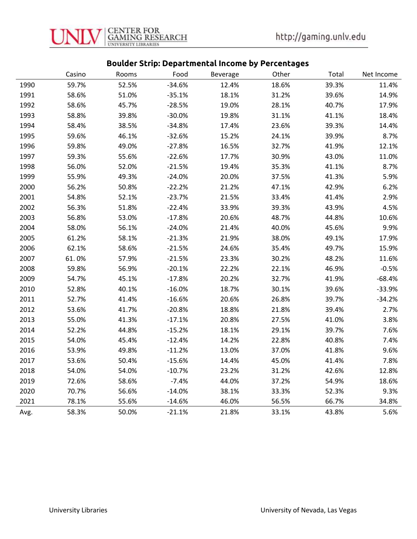

## Boulder Strip: Departmental Income by Percentages

|      | Casino | Rooms | Food     | <b>Beverage</b> | Other | Total | Net Income |
|------|--------|-------|----------|-----------------|-------|-------|------------|
| 1990 | 59.7%  | 52.5% | $-34.6%$ | 12.4%           | 18.6% | 39.3% | 11.4%      |
| 1991 | 58.6%  | 51.0% | $-35.1%$ | 18.1%           | 31.2% | 39.6% | 14.9%      |
| 1992 | 58.6%  | 45.7% | $-28.5%$ | 19.0%           | 28.1% | 40.7% | 17.9%      |
| 1993 | 58.8%  | 39.8% | $-30.0%$ | 19.8%           | 31.1% | 41.1% | 18.4%      |
| 1994 | 58.4%  | 38.5% | $-34.8%$ | 17.4%           | 23.6% | 39.3% | 14.4%      |
| 1995 | 59.6%  | 46.1% | $-32.6%$ | 15.2%           | 24.1% | 39.9% | 8.7%       |
| 1996 | 59.8%  | 49.0% | $-27.8%$ | 16.5%           | 32.7% | 41.9% | 12.1%      |
| 1997 | 59.3%  | 55.6% | $-22.6%$ | 17.7%           | 30.9% | 43.0% | 11.0%      |
| 1998 | 56.0%  | 52.0% | $-21.5%$ | 19.4%           | 35.3% | 41.1% | 8.7%       |
| 1999 | 55.9%  | 49.3% | $-24.0%$ | 20.0%           | 37.5% | 41.3% | 5.9%       |
| 2000 | 56.2%  | 50.8% | $-22.2%$ | 21.2%           | 47.1% | 42.9% | 6.2%       |
| 2001 | 54.8%  | 52.1% | $-23.7%$ | 21.5%           | 33.4% | 41.4% | 2.9%       |
| 2002 | 56.3%  | 51.8% | $-22.4%$ | 33.9%           | 39.3% | 43.9% | 4.5%       |
| 2003 | 56.8%  | 53.0% | $-17.8%$ | 20.6%           | 48.7% | 44.8% | 10.6%      |
| 2004 | 58.0%  | 56.1% | $-24.0%$ | 21.4%           | 40.0% | 45.6% | 9.9%       |
| 2005 | 61.2%  | 58.1% | $-21.3%$ | 21.9%           | 38.0% | 49.1% | 17.9%      |
| 2006 | 62.1%  | 58.6% | $-21.5%$ | 24.6%           | 35.4% | 49.7% | 15.9%      |
| 2007 | 61.0%  | 57.9% | $-21.5%$ | 23.3%           | 30.2% | 48.2% | 11.6%      |
| 2008 | 59.8%  | 56.9% | $-20.1%$ | 22.2%           | 22.1% | 46.9% | $-0.5%$    |
| 2009 | 54.7%  | 45.1% | $-17.8%$ | 20.2%           | 32.7% | 41.9% | $-68.4%$   |
| 2010 | 52.8%  | 40.1% | $-16.0%$ | 18.7%           | 30.1% | 39.6% | $-33.9%$   |
| 2011 | 52.7%  | 41.4% | $-16.6%$ | 20.6%           | 26.8% | 39.7% | $-34.2%$   |
| 2012 | 53.6%  | 41.7% | $-20.8%$ | 18.8%           | 21.8% | 39.4% | 2.7%       |
| 2013 | 55.0%  | 41.3% | $-17.1%$ | 20.8%           | 27.5% | 41.0% | 3.8%       |
| 2014 | 52.2%  | 44.8% | $-15.2%$ | 18.1%           | 29.1% | 39.7% | 7.6%       |
| 2015 | 54.0%  | 45.4% | $-12.4%$ | 14.2%           | 22.8% | 40.8% | 7.4%       |
| 2016 | 53.9%  | 49.8% | $-11.2%$ | 13.0%           | 37.0% | 41.8% | 9.6%       |
| 2017 | 53.6%  | 50.4% | $-15.6%$ | 14.4%           | 45.0% | 41.4% | 7.8%       |
| 2018 | 54.0%  | 54.0% | $-10.7%$ | 23.2%           | 31.2% | 42.6% | 12.8%      |
| 2019 | 72.6%  | 58.6% | $-7.4%$  | 44.0%           | 37.2% | 54.9% | 18.6%      |
| 2020 | 70.7%  | 56.6% | $-14.0%$ | 38.1%           | 33.3% | 52.3% | 9.3%       |
| 2021 | 78.1%  | 55.6% | $-14.6%$ | 46.0%           | 56.5% | 66.7% | 34.8%      |
| Avg. | 58.3%  | 50.0% | $-21.1%$ | 21.8%           | 33.1% | 43.8% | 5.6%       |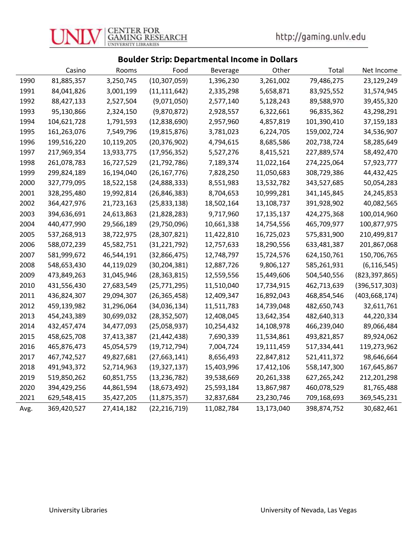

## Boulder Strip: Departmental Income in Dollars

|      | Casino      | Rooms      | Food           | <b>Beverage</b> | Other      | Total       | Net Income      |
|------|-------------|------------|----------------|-----------------|------------|-------------|-----------------|
| 1990 | 81,885,357  | 3,250,745  | (10, 307, 059) | 1,396,230       | 3,261,002  | 79,486,275  | 23,129,249      |
| 1991 | 84,041,826  | 3,001,199  | (11, 111, 642) | 2,335,298       | 5,658,871  | 83,925,552  | 31,574,945      |
| 1992 | 88,427,133  | 2,527,504  | (9,071,050)    | 2,577,140       | 5,128,243  | 89,588,970  | 39,455,320      |
| 1993 | 95,130,866  | 2,324,150  | (9,870,872)    | 2,928,557       | 6,322,661  | 96,835,362  | 43,298,291      |
| 1994 | 104,621,728 | 1,791,593  | (12,838,690)   | 2,957,960       | 4,857,819  | 101,390,410 | 37,159,183      |
| 1995 | 161,263,076 | 7,549,796  | (19, 815, 876) | 3,781,023       | 6,224,705  | 159,002,724 | 34,536,907      |
| 1996 | 199,516,220 | 10,119,205 | (20, 376, 902) | 4,794,615       | 8,685,586  | 202,738,724 | 58,285,649      |
| 1997 | 217,969,354 | 13,933,775 | (17, 956, 352) | 5,527,276       | 8,415,521  | 227,889,574 | 58,492,470      |
| 1998 | 261,078,783 | 16,727,529 | (21, 792, 786) | 7,189,374       | 11,022,164 | 274,225,064 | 57,923,777      |
| 1999 | 299,824,189 | 16,194,040 | (26, 167, 776) | 7,828,250       | 11,050,683 | 308,729,386 | 44,432,425      |
| 2000 | 327,779,095 | 18,522,158 | (24,888,333)   | 8,551,983       | 13,532,782 | 343,527,685 | 50,054,283      |
| 2001 | 328,295,480 | 19,992,814 | (26, 846, 383) | 8,704,653       | 10,999,281 | 341,145,845 | 24,245,853      |
| 2002 | 364,427,976 | 21,723,163 | (25,833,138)   | 18,502,164      | 13,108,737 | 391,928,902 | 40,082,565      |
| 2003 | 394,636,691 | 24,613,863 | (21, 828, 283) | 9,717,960       | 17,135,137 | 424,275,368 | 100,014,960     |
| 2004 | 440,477,990 | 29,566,189 | (29,750,096)   | 10,661,338      | 14,754,556 | 465,709,977 | 100,877,975     |
| 2005 | 537,268,913 | 38,722,975 | (28, 307, 821) | 11,422,810      | 16,725,023 | 575,831,900 | 210,499,817     |
| 2006 | 588,072,239 | 45,582,751 | (31, 221, 792) | 12,757,633      | 18,290,556 | 633,481,387 | 201,867,068     |
| 2007 | 581,999,672 | 46,544,191 | (32,866,475)   | 12,748,797      | 15,724,576 | 624,150,761 | 150,706,765     |
| 2008 | 548,653,430 | 44,119,029 | (30, 204, 381) | 12,887,726      | 9,806,127  | 585,261,931 | (6, 116, 545)   |
| 2009 | 473,849,263 | 31,045,946 | (28, 363, 815) | 12,559,556      | 15,449,606 | 504,540,556 | (823, 397, 865) |
| 2010 | 431,556,430 | 27,683,549 | (25, 771, 295) | 11,510,040      | 17,734,915 | 462,713,639 | (396, 517, 303) |
| 2011 | 436,824,307 | 29,094,307 | (26, 365, 458) | 12,409,347      | 16,892,043 | 468,854,546 | (403, 668, 174) |
| 2012 | 459,139,982 | 31,296,064 | (34,036,134)   | 11,511,783      | 14,739,048 | 482,650,743 | 32,611,761      |
| 2013 | 454,243,389 | 30,699,032 | (28, 352, 507) | 12,408,045      | 13,642,354 | 482,640,313 | 44,220,334      |
| 2014 | 432,457,474 | 34,477,093 | (25,058,937)   | 10,254,432      | 14,108,978 | 466,239,040 | 89,066,484      |
| 2015 | 458,625,708 | 37,413,387 | (21, 442, 438) | 7,690,339       | 11,534,861 | 493,821,857 | 89,924,062      |
| 2016 | 465,876,473 | 45,054,579 | (19, 712, 794) | 7,004,724       | 19,111,459 | 517,334,441 | 119,273,962     |
| 2017 | 467,742,527 | 49,827,681 | (27, 663, 141) | 8,656,493       | 22,847,812 | 521,411,372 | 98,646,664      |
| 2018 | 491,943,372 | 52,714,963 | (19, 327, 137) | 15,403,996      | 17,412,106 | 558,147,300 | 167,645,867     |
| 2019 | 519,850,262 | 60,851,755 | (13, 236, 782) | 39,538,669      | 20,261,338 | 627,265,242 | 212,201,298     |
| 2020 | 394,429,256 | 44,861,594 | (18,673,492)   | 25,593,184      | 13,867,987 | 460,078,529 | 81,765,488      |
| 2021 | 629,548,415 | 35,427,205 | (11, 875, 357) | 32,837,684      | 23,230,746 | 709,168,693 | 369,545,231     |
| Avg. | 369,420,527 | 27,414,182 | (22, 216, 719) | 11,082,784      | 13,173,040 | 398,874,752 | 30,682,461      |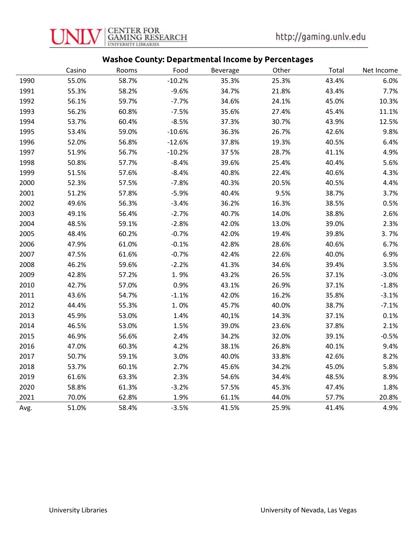

#### Washoe County: Departmental Income by Percentages

|      | Casino | Rooms | Food     | <b>Beverage</b> | Other | Total | Net Income |
|------|--------|-------|----------|-----------------|-------|-------|------------|
| 1990 | 55.0%  | 58.7% | $-10.2%$ | 35.3%           | 25.3% | 43.4% | 6.0%       |
| 1991 | 55.3%  | 58.2% | $-9.6%$  | 34.7%           | 21.8% | 43.4% | 7.7%       |
| 1992 | 56.1%  | 59.7% | $-7.7%$  | 34.6%           | 24.1% | 45.0% | 10.3%      |
| 1993 | 56.2%  | 60.8% | $-7.5%$  | 35.6%           | 27.4% | 45.4% | 11.1%      |
| 1994 | 53.7%  | 60.4% | $-8.5%$  | 37.3%           | 30.7% | 43.9% | 12.5%      |
| 1995 | 53.4%  | 59.0% | $-10.6%$ | 36.3%           | 26.7% | 42.6% | 9.8%       |
| 1996 | 52.0%  | 56.8% | $-12.6%$ | 37.8%           | 19.3% | 40.5% | 6.4%       |
| 1997 | 51.9%  | 56.7% | $-10.2%$ | 375%            | 28.7% | 41.1% | 4.9%       |
| 1998 | 50.8%  | 57.7% | $-8.4%$  | 39.6%           | 25.4% | 40.4% | 5.6%       |
| 1999 | 51.5%  | 57.6% | $-8.4%$  | 40.8%           | 22.4% | 40.6% | 4.3%       |
| 2000 | 52.3%  | 57.5% | $-7.8%$  | 40.3%           | 20.5% | 40.5% | 4.4%       |
| 2001 | 51.2%  | 57.8% | $-5.9%$  | 40.4%           | 9.5%  | 38.7% | 3.7%       |
| 2002 | 49.6%  | 56.3% | $-3.4%$  | 36.2%           | 16.3% | 38.5% | 0.5%       |
| 2003 | 49.1%  | 56.4% | $-2.7%$  | 40.7%           | 14.0% | 38.8% | 2.6%       |
| 2004 | 48.5%  | 59.1% | $-2.8%$  | 42.0%           | 13.0% | 39.0% | 2.3%       |
| 2005 | 48.4%  | 60.2% | $-0.7%$  | 42.0%           | 19.4% | 39.8% | 3.7%       |
| 2006 | 47.9%  | 61.0% | $-0.1%$  | 42.8%           | 28.6% | 40.6% | 6.7%       |
| 2007 | 47.5%  | 61.6% | $-0.7%$  | 42.4%           | 22.6% | 40.0% | 6.9%       |
| 2008 | 46.2%  | 59.6% | $-2.2%$  | 41.3%           | 34.6% | 39.4% | 3.5%       |
| 2009 | 42.8%  | 57.2% | 1.9%     | 43.2%           | 26.5% | 37.1% | $-3.0%$    |
| 2010 | 42.7%  | 57.0% | 0.9%     | 43.1%           | 26.9% | 37.1% | $-1.8%$    |
| 2011 | 43.6%  | 54.7% | $-1.1%$  | 42.0%           | 16.2% | 35.8% | $-3.1%$    |
| 2012 | 44.4%  | 55.3% | 1.0%     | 45.7%           | 40.0% | 38.7% | $-7.1%$    |
| 2013 | 45.9%  | 53.0% | 1.4%     | 40,1%           | 14.3% | 37.1% | 0.1%       |
| 2014 | 46.5%  | 53.0% | 1.5%     | 39.0%           | 23.6% | 37.8% | 2.1%       |
| 2015 | 46.9%  | 56.6% | 2.4%     | 34.2%           | 32.0% | 39.1% | $-0.5%$    |
| 2016 | 47.0%  | 60.3% | 4.2%     | 38.1%           | 26.8% | 40.1% | 9.4%       |
| 2017 | 50.7%  | 59.1% | 3.0%     | 40.0%           | 33.8% | 42.6% | 8.2%       |
| 2018 | 53.7%  | 60.1% | 2.7%     | 45.6%           | 34.2% | 45.0% | 5.8%       |
| 2019 | 61.6%  | 63.3% | 2.3%     | 54.6%           | 34.4% | 48.5% | 8.9%       |
| 2020 | 58.8%  | 61.3% | $-3.2%$  | 57.5%           | 45.3% | 47.4% | 1.8%       |
| 2021 | 70.0%  | 62.8% | 1.9%     | 61.1%           | 44.0% | 57.7% | 20.8%      |
| Avg. | 51.0%  | 58.4% | $-3.5%$  | 41.5%           | 25.9% | 41.4% | 4.9%       |